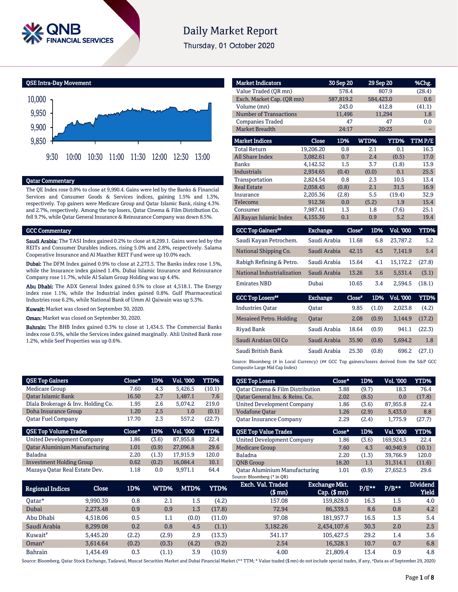

# **Daily Market Report**

Thursday, 01 October 2020

QSE Intra-Day Movement



### Qatar Commentary

The QE Index rose 0.8% to close at 9,990.4. Gains were led by the Banks & Financial Services and Consumer Goods & Services indices, gaining 1.5% and 1.3%, respectively. Top gainers were Medicare Group and Qatar Islamic Bank, rising 4.3% and 2.7%, respectively. Among the top losers, Qatar Cinema & Film Distribution Co. fell 9.7%, while Qatar General Insurance & Reinsurance Company was down 8.5%.

#### GCC Commentary

Saudi Arabia: The TASI Index gained 0.2% to close at 8,299.1. Gains were led by the REITs and Consumer Durables indices, rising 5.0% and 2.8%, respectively. Salama Cooperative Insurance and Al Maather REIT Fund were up 10.0% each.

Dubai: The DFM Index gained 0.9% to close at 2,273.5. The Banks index rose 1.5%, while the Insurance index gained 1.4%. Dubai Islamic Insurance and Reinsurance Company rose 11.7%, while Al Salam Group Holding was up 4.4%.

Abu Dhabi: The ADX General Index gained 0.5% to close at 4,518.1. The Energy index rose 1.1%, while the Industrial index gained 0.8%. Gulf Pharmaceutical Industries rose 6.2%, while National Bank of Umm Al Qaiwain was up 5.3%.

Kuwait: Market was closed on September 30, 2020.

Oman: Market was closed on September 30, 2020.

Bahrain: The BHB Index gained 0.3% to close at 1,434.5. The Commercial Banks index rose 0.5%, while the Services index gained marginally. Ahli United Bank rose 1.2%, while Seef Properties was up 0.6%.

| <b>Market Indicators</b>   |                 | 30 Sep 20 |               | 29 Sep 20       | %Chg.       |
|----------------------------|-----------------|-----------|---------------|-----------------|-------------|
| Value Traded (QR mn)       |                 | 578.4     |               | 807.9           | (28.4)      |
| Exch. Market Cap. (QR mn)  |                 | 587,819.2 |               | 584,423.0       | 0.6         |
| Volume (mn)                |                 | 243.0     |               | 412.8           | (41.1)      |
| Number of Transactions     |                 | 11.496    |               | 11.294          | 1.8         |
| <b>Companies Traded</b>    |                 | 47        |               | 47              | 0.0         |
| Market Breadth             |                 | 24:17     |               | 20:23           |             |
| <b>Market Indices</b>      | <b>Close</b>    | 1D%       | WTD%          | YTD%            | TTM P/E     |
| <b>Total Return</b>        | 19,206.20       | 0.8       | 2.1           | 0.1             | 16.3        |
| <b>All Share Index</b>     | 3.082.61        | 0.7       | 2.4           | (0.5)           | 17.0        |
| <b>Banks</b>               | 4.142.52        | 1.5       | 3.7           | (1.8)           | 13.9        |
| <b>Industrials</b>         | 2.934.65        | (0.4)     | (0.0)         | 0.1             | 25.5        |
| Transportation             | 2,824.54        | 0.8       | 2.3           | 10.5            | 13.4        |
| <b>Real Estate</b>         | 2,058.45        | (0.8)     | 2.1           | 31.5            | 16.9        |
| <b>Insurance</b>           | 2,205.36        | (2.8)     | 5.5           | (19.4)          | 32.9        |
| <b>Telecoms</b>            | 912.36          | 0.0       | (5.2)         | 1.9             | 15.4        |
| Consumer                   | 7,987.41        | 1.3       | 1.8           | (7.6)           | 25.1        |
| Al Rayan Islamic Index     | 4,155.36        | 0.1       | 0.9           | 5.2             | 19.4        |
| <b>GCC Top Gainers**</b>   | <b>Exchange</b> |           | Close*<br>1D% | Vol. '000       | <b>YTD%</b> |
| Saudi Kayan Petrochem.     | Saudi Arabia    |           | 11.68         | 6.8<br>23,787.2 | 5.2         |
| National Shipping Co.      | Saudi Arabia    |           | 42.15         | 4.5<br>7,141.9  | 5.4         |
| Rabigh Refining & Petro.   | Saudi Arabia    |           | 15.64         | 15,172.2<br>4.1 | (27.8)      |
| National Industrialization | Saudi Arabia    |           | 13.26         | 3.6<br>5,531.4  | (3.1)       |

| <b>Emirates NBD</b>     | Dubai           | 10.65  | 3.4   | 2.594.5          | (18.1) |
|-------------------------|-----------------|--------|-------|------------------|--------|
| <b>GCC Top Losers</b> " | <b>Exchange</b> | Close* | 1D%   | <b>Vol. '000</b> | YTD%   |
| <b>Industries Oatar</b> | Oatar           | 9.85   | (1.0) | 2.023.8          | (4.2)  |
| Mesaieed Petro. Holding | <b>Oatar</b>    | 2.08   | (0.9) | 3.144.9          | (17.2) |
| Rivad Bank              | Saudi Arabia    | 18.64  | (0.9) | 941.1            | (22.3) |
| Saudi Arabian Oil Co    | Saudi Arabia    | 35.90  | (0.8) | 5.694.2          | 1.8    |
| Saudi British Bank      | Saudi Arabia    | 25.30  | (0.8) | 696.2            | (27.1) |

Source: Bloomberg (# in Local Currency) (## GCC Top gainers/losers derived from the S&P GCC Composite Large Mid Cap Index)

| <b>QSE Top Gainers</b>               | Close*   | 1D%   | Vol. '000 | <b>YTD%</b> | <b>QSE Top Lose</b>  |
|--------------------------------------|----------|-------|-----------|-------------|----------------------|
| Medicare Group                       | 7.60     | 4.3   | 5,426.5   | (10.1)      | <b>Qatar Cinema</b>  |
| <b>Oatar Islamic Bank</b>            | 16.50    | 2.7   | 1,487.1   | 7.6         | Oatar General        |
| Dlala Brokerage & Inv. Holding Co.   | 1.95     | 2.6   | 5,074.2   | 219.0       | <b>United Develo</b> |
| <b>Doha Insurance Group</b>          | 1.20     | 2.5   | 1.0       | (0.1)       | <b>Vodafone Oat</b>  |
| <b>Oatar Fuel Company</b>            | 17.70    | 2.3   | 557.2     | (22.7)      | <b>Qatar Insurar</b> |
| <b>QSE Top Volume Trades</b>         | $Close*$ | 1D%   | Vol. '000 | <b>YTD%</b> | <b>QSE Top Valu</b>  |
| <b>United Development Company</b>    | 1.86     | (3.6) | 87,955.8  | 22.4        | <b>United Develo</b> |
| <b>Qatar Aluminium Manufacturing</b> | 1.01     | (0.9) | 27,096.8  | 29.6        | <b>Medicare Groy</b> |
| Baladna                              | 2.20     | (1.3) | 17,915.9  | 120.0       | Baladna              |
|                                      |          |       |           |             |                      |
| <b>Investment Holding Group</b>      | 0.62     | (0.2) | 16.084.4  | 10.1        | <b>ONB</b> Group     |

| <b>QSE Top Losers</b>             | Close* | 1D%   | <b>Vol. '000</b> | <b>YTD%</b> |
|-----------------------------------|--------|-------|------------------|-------------|
| Oatar Cinema & Film Distribution  | 3.88   | (9.7) | 18.3             | 76.4        |
| Oatar General Ins. & Reins. Co.   | 2.02   | (8.5) | 0.0              | (17.8)      |
| <b>United Development Company</b> | 1.86   | (3.6) | 87,955.8         | 22.4        |
| <b>Vodafone Qatar</b>             | 1.26   | (2.9) | 5.433.0          | 8.8         |
| <b>Oatar Insurance Company</b>    | 2.29   | (2.4) | 1.775.9          | (27.7)      |
|                                   |        |       |                  |             |
| <b>OSE Top Value Trades</b>       | Close* | 1D%   | Val. '000        | YTD%        |
| <b>United Development Company</b> | 1.86   | (3.6) | 169.924.5        | 22.4        |
| <b>Medicare Group</b>             | 7.60   | 4.3   | 40.940.9         | (10.1)      |
| <b>Baladna</b>                    | 2.20   | (1.3) | 39.766.9         | 120.0       |
| <b>ONB</b> Group                  | 18.20  | 1.1   | 31,314.1         | (11.6)      |

| <b>Regional Indices</b> | Close    | 1D%   | WTD%'   | MTD%  | YTD%   | Exch. Val. Traded<br>$$$ mn $)$ | <b>Exchange Mkt.</b><br>$Cap.$ ( $$rm)$ ) | $P/E***$ | $P/B**$ | <b>Dividend</b><br>Yield |
|-------------------------|----------|-------|---------|-------|--------|---------------------------------|-------------------------------------------|----------|---------|--------------------------|
| Oatar*                  | 9.990.39 | 0.8   | 2.1     | 1.5   | (4.2)  | 157.08                          | 159,828.0                                 | 16.3     | 1.5     | 4.0                      |
| Dubai                   | 2.273.48 | 0.9   | 0.9     | 1.3   | (17.8) | 72.94                           | 86,339.5                                  | 8.6      | 0.8     | 4.2                      |
| Abu Dhabi               | 4.518.06 | 0.5   | $1.1\,$ | (0.0) | (11.0) | 97.08                           | 181.957.7                                 | 16.5     | 1.3     | 5.4                      |
| Saudi Arabia            | 8.299.08 | 0.2   | 0.8     | 4.5   | (1.1)  | 3.182.26                        | 2,434,107.6                               | 30.3     | 2.0     | 2.5                      |
| Kuwait <sup>#</sup>     | 5.445.20 | (2.2) | (2.9)   | 2.9   | (13.3) | 341.17                          | 105.427.5                                 | 29.2     | 1.4     | 3.6                      |
| $Omega^*$               | 3.614.64 | (0.2) | (0.3)   | (4.2) | (9.2)  | 2.54                            | 16.328.1                                  | 10.7     | 0.7     | 6.8                      |
| <b>Bahrain</b>          | L.434.49 | 0.3   | (1.1)   | 3.9   | (10.9) | 4.00                            | 21.809.4                                  | 13.4     | 0.9     | 4.8                      |

Source: Bloomberg, Qatar Stock Exchange, Tadawul, Muscat Securities Market and Dubai Financial Market (\*\* TTM; \* Value traded (\$ mn) do not include special trades, if any, #Data as of September 29, 2020)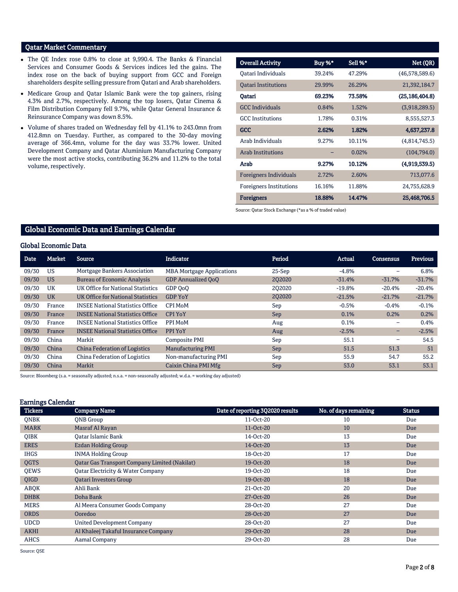# Qatar Market Commentary

- The QE Index rose 0.8% to close at 9,990.4. The Banks & Financial Services and Consumer Goods & Services indices led the gains. The index rose on the back of buying support from GCC and Foreign shareholders despite selling pressure from Qatari and Arab shareholders.
- Medicare Group and Qatar Islamic Bank were the top gainers, rising 4.3% and 2.7%, respectively. Among the top losers, Qatar Cinema & Film Distribution Company fell 9.7%, while Qatar General Insurance & Reinsurance Company was down 8.5%.
- Volume of shares traded on Wednesday fell by 41.1% to 243.0mn from 412.8mn on Tuesday. Further, as compared to the 30-day moving average of 366.4mn, volume for the day was 33.7% lower. United Development Company and Qatar Aluminium Manufacturing Company were the most active stocks, contributing 36.2% and 11.2% to the total volume, respectively.

| <b>Overall Activity</b>        | Buy %* | Sell %* | Net (QR)         |
|--------------------------------|--------|---------|------------------|
| Oatari Individuals             | 39.24% | 47.29%  | (46,578,589.6)   |
| <b>Oatari Institutions</b>     | 29.99% | 26.29%  | 21,392,184.7     |
| Oatari                         | 69.23% | 73.58%  | (25, 186, 404.8) |
| <b>GCC Individuals</b>         | 0.84%  | 1.52%   | (3,918,289.5)    |
| <b>GCC</b> Institutions        | 1.78%  | 0.31%   | 8,555,527.3      |
| <b>GCC</b>                     | 2.62%  | 1.82%   | 4,637,237.8      |
| Arab Individuals               | 9.27%  | 10.11%  | (4,814,745.5)    |
| <b>Arab Institutions</b>       |        | 0.02%   | (104,794.0)      |
| Arab                           | 9.27%  | 10.12%  | (4,919,539.5)    |
| Foreigners Individuals         | 2.72%  | 2.60%   | 713,077.6        |
| <b>Foreigners Institutions</b> | 16.16% | 11.88%  | 24,755,628.9     |
| <b>Foreigners</b>              | 18.88% | 14.47%  | 25,468,706.5     |

Source: Qatar Stock Exchange (\*as a % of traded value)

# Global Economic Data and Earnings Calendar

## Global Economic Data

| <b>Date</b> | Market    | Source                                  | <b>Indicator</b>                 | Period   | Actual   | Consensus | Previous |
|-------------|-----------|-----------------------------------------|----------------------------------|----------|----------|-----------|----------|
| 09/30       | US        | <b>Mortgage Bankers Association</b>     | <b>MBA Mortgage Applications</b> | $25-Sep$ | $-4.8%$  | -         | 6.8%     |
| 09/30       | <b>US</b> | <b>Bureau of Economic Analysis</b>      | <b>GDP Annualized OoO</b>        | 202020   | $-31.4%$ | $-31.7%$  | $-31.7%$ |
| 09/30       | UK        | UK Office for National Statistics       | GDP OoO                          | 202020   | $-19.8%$ | $-20.4%$  | $-20.4%$ |
| 09/30       | <b>UK</b> | UK Office for National Statistics       | <b>GDP YoY</b>                   | 202020   | $-21.5%$ | $-21.7%$  | $-21.7%$ |
| 09/30       | France    | <b>INSEE National Statistics Office</b> | CPI MoM                          | Sep      | $-0.5%$  | $-0.4\%$  | $-0.1%$  |
| 09/30       | France    | <b>INSEE National Statistics Office</b> | <b>CPI YoY</b>                   | Sep      | 0.1%     | 0.2%      | 0.2%     |
| 09/30       | France    | <b>INSEE National Statistics Office</b> | PPI MoM                          | Aug      | 0.1%     | -         | 0.4%     |
| 09/30       | France    | <b>INSEE National Statistics Office</b> | PPI YoY                          | Aug      | $-2.5%$  | -         | $-2.5%$  |
| 09/30       | China     | Markit                                  | Composite PMI                    | Sep      | 55.1     | -         | 54.5     |
| 09/30       | China     | <b>China Federation of Logistics</b>    | <b>Manufacturing PMI</b>         | Sep      | 51.5     | 51.3      | 51       |
| 09/30       | China     | China Federation of Logistics           | Non-manufacturing PMI            | Sep      | 55.9     | 54.7      | 55.2     |
| 09/30       | China     | Markit                                  | Caixin China PMI Mfg             | Sep      | 53.0     | 53.1      | 53.1     |

Source: Bloomberg (s.a. = seasonally adjusted; n.s.a. = non-seasonally adjusted; w.d.a. = working day adjusted)

#### Earnings Calendar

| <b>Tickers</b> | <b>Company Name</b>                                  | Date of reporting 3Q2020 results | No. of days remaining | <b>Status</b> |
|----------------|------------------------------------------------------|----------------------------------|-----------------------|---------------|
| <b>ONBK</b>    | <b>ONB</b> Group                                     | 11-Oct-20                        | 10                    | Due           |
| <b>MARK</b>    | Masraf Al Rayan                                      | 11-Oct-20                        | 10                    | Due           |
| <b>OIBK</b>    | <b>Qatar Islamic Bank</b>                            | 14-Oct-20                        | 13                    | Due           |
| <b>ERES</b>    | <b>Ezdan Holding Group</b>                           | 14-Oct-20                        | 13                    | Due           |
| <b>IHGS</b>    | <b>INMA Holding Group</b>                            | 18-Oct-20                        | 17                    | Due           |
| <b>OGTS</b>    | <b>Qatar Gas Transport Company Limited (Nakilat)</b> | 19-Oct-20                        | 18                    | Due           |
| <b>OEWS</b>    | Qatar Electricity & Water Company                    | 19-Oct-20                        | 18                    | Due           |
| QIGD           | <b>Qatari Investors Group</b>                        | 19-Oct-20                        | 18                    | Due           |
| ABQK           | Ahli Bank                                            | 21-Oct-20                        | 20                    | Due           |
| <b>DHBK</b>    | Doha Bank                                            | 27-Oct-20                        | 26                    | Due           |
| <b>MERS</b>    | Al Meera Consumer Goods Company                      | 28-Oct-20                        | 27                    | Due           |
| <b>ORDS</b>    | Ooredoo                                              | 28-Oct-20                        | 27                    | Due           |
| <b>UDCD</b>    | <b>United Development Company</b>                    | 28-Oct-20                        | 27                    | Due           |
| <b>AKHI</b>    | Al Khaleej Takaful Insurance Company                 | 29-Oct-20                        | 28                    | Due           |
| <b>AHCS</b>    | Aamal Company                                        | 29-Oct-20                        | 28                    | Due           |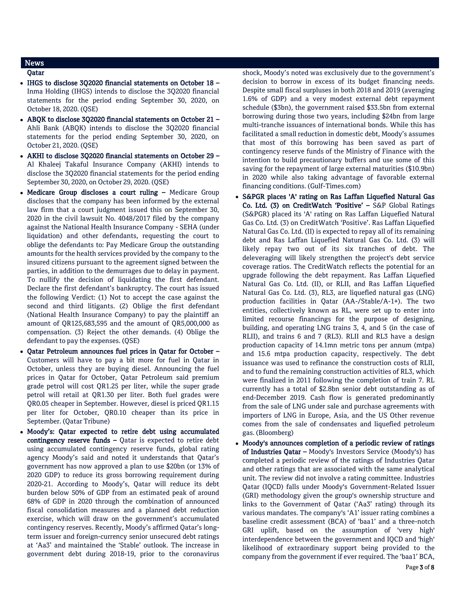# News

- Qatar
- IHGS to disclose 3Q2020 financial statements on October 18 Inma Holding (IHGS) intends to disclose the 3Q2020 financial statements for the period ending September 30, 2020, on October 18, 2020. (QSE)
- ABQK to disclose 3Q2020 financial statements on October 21 Ahli Bank (ABQK) intends to disclose the 3Q2020 financial statements for the period ending September 30, 2020, on October 21, 2020. (QSE)
- AKHI to disclose 3Q2020 financial statements on October 29 Al Khaleej Takaful Insurance Company (AKHI) intends to disclose the 3Q2020 financial statements for the period ending September 30, 2020, on October 29, 2020. (QSE)
- Medicare Group discloses a court ruling Medicare Group discloses that the company has been informed by the external law firm that a court judgment issued this on September 30, 2020 in the civil lawsuit No. 4048/2017 filed by the company against the National Health Insurance Company - SEHA (under liquidation) and other defendants, requesting the court to oblige the defendants to: Pay Medicare Group the outstanding amounts for the health services provided by the company to the insured citizens pursuant to the agreement signed between the parties, in addition to the demurrages due to delay in payment. To nullify the decision of liquidating the first defendant. Declare the first defendant's bankruptcy. The court has issued the following Verdict: (1) Not to accept the case against the second and third litigants. (2) Oblige the first defendant (National Health Insurance Company) to pay the plaintiff an amount of QR125,683,595 and the amount of QR5,000,000 as compensation. (3) Reject the other demands. (4) Oblige the defendant to pay the expenses. (QSE)
- Qatar Petroleum announces fuel prices in Qatar for October Customers will have to pay a bit more for fuel in Qatar in October, unless they are buying diesel. Announcing the fuel prices in Qatar for October, Qatar Petroleum said premium grade petrol will cost QR1.25 per liter, while the super grade petrol will retail at QR1.30 per liter. Both fuel grades were QR0.05 cheaper in September. However, diesel is priced QR1.15 per liter for October, QR0.10 cheaper than its price in September. (Qatar Tribune)
- Moody's: Qatar expected to retire debt using accumulated contingency reserve funds  $-$  Qatar is expected to retire debt using accumulated contingency reserve funds, global rating agency Moody's said and noted it understands that Qatar's government has now approved a plan to use \$20bn (or 13% of 2020 GDP) to reduce its gross borrowing requirement during 2020-21. According to Moody's, Qatar will reduce its debt burden below 50% of GDP from an estimated peak of around 68% of GDP in 2020 through the combination of announced fiscal consolidation measures and a planned debt reduction exercise, which will draw on the government's accumulated contingency reserves. Recently, Moody's affirmed Qatar's longterm issuer and foreign-currency senior unsecured debt ratings at 'Aa3' and maintained the 'Stable' outlook. The increase in government debt during 2018-19, prior to the coronavirus

shock, Moody's noted was exclusively due to the government's decision to borrow in excess of its budget financing needs. Despite small fiscal surpluses in both 2018 and 2019 (averaging 1.6% of GDP) and a very modest external debt repayment schedule (\$3bn), the government raised \$33.5bn from external borrowing during those two years, including \$24bn from large multi-tranche issuances of international bonds. While this has facilitated a small reduction in domestic debt, Moody's assumes that most of this borrowing has been saved as part of contingency reserve funds of the Ministry of Finance with the intention to build precautionary buffers and use some of this saving for the repayment of large external maturities (\$10.9bn) in 2020 while also taking advantage of favorable external financing conditions. (Gulf-Times.com)

- S&PGR places 'A' rating on Ras Laffan Liquefied Natural Gas Co. Ltd. (3) on CreditWatch 'Positive' – S&P Global Ratings (S&PGR) placed its 'A' rating on Ras Laffan Liquefied Natural Gas Co. Ltd. (3) on CreditWatch 'Positive'. Ras Laffan Liquefied Natural Gas Co. Ltd. (II) is expected to repay all of its remaining debt and Ras Laffan Liquefied Natural Gas Co. Ltd. (3) will likely repay two out of its six tranches of debt. The deleveraging will likely strengthen the project's debt service coverage ratios. The CreditWatch reflects the potential for an upgrade following the debt repayment. Ras Laffan Liquefied Natural Gas Co. Ltd. (II), or RLII, and Ras Laffan Liquefied Natural Gas Co. Ltd. (3), RL3, are liquefied natural gas (LNG) production facilities in Qatar (AA-/Stable/A-1+). The two entities, collectively known as RL, were set up to enter into limited recourse financings for the purpose of designing, building, and operating LNG trains 3, 4, and 5 (in the case of RLII), and trains 6 and 7 (RL3). RLII and RL3 have a design production capacity of 14.1mn metric tons per annum (mtpa) and 15.6 mtpa production capacity, respectively. The debt issuance was used to refinance the construction costs of RLII, and to fund the remaining construction activities of RL3, which were finalized in 2011 following the completion of train 7. RL currently has a total of \$2.8bn senior debt outstanding as of end-December 2019. Cash flow is generated predominantly from the sale of LNG under sale and purchase agreements with importers of LNG in Europe, Asia, and the US Other revenue comes from the sale of condensates and liquefied petroleum gas. (Bloomberg)
- Moody's announces completion of a periodic review of ratings of Industries Qatar – Moody's Investors Service (Moody's) has completed a periodic review of the ratings of Industries Qatar and other ratings that are associated with the same analytical unit. The review did not involve a rating committee. Industries Qatar (IQCD) falls under Moody's Government-Related Issuer (GRI) methodology given the group's ownership structure and links to the Government of Qatar ('Aa3' rating) through its various mandates. The company's 'A1' issuer rating combines a baseline credit assessment (BCA) of 'baa1' and a three-notch GRI uplift, based on the assumption of 'very high' interdependence between the government and IQCD and 'high' likelihood of extraordinary support being provided to the company from the government if ever required. The 'baa1' BCA,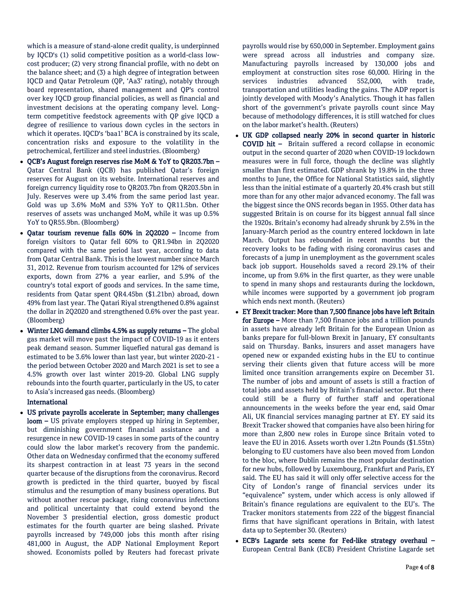which is a measure of stand-alone credit quality, is underpinned by IQCD's (1) solid competitive position as a world-class lowcost producer; (2) very strong financial profile, with no debt on the balance sheet; and (3) a high degree of integration between IQCD and Qatar Petroleum (QP, 'Aa3' rating), notably through board representation, shared management and QP's control over key IQCD group financial policies, as well as financial and investment decisions at the operating company level. Longterm competitive feedstock agreements with QP give IQCD a degree of resilience to various down cycles in the sectors in which it operates. IQCD's 'baa1' BCA is constrained by its scale, concentration risks and exposure to the volatility in the petrochemical, fertilizer and steel industries. (Bloomberg)

- QCB's August foreign reserves rise MoM & YoY to QR203.7bn Qatar Central Bank (QCB) has published Qatar's foreign reserves for August on its website. International reserves and foreign currency liquidity rose to QR203.7bn from QR203.5bn in July. Reserves were up 3.4% from the same period last year. Gold was up 3.6% MoM and 53% YoY to QR11.5bn. Other reserves of assets was unchanged MoM, while it was up 0.5% YoY to QR55.9bn. (Bloomberg)
- Oatar tourism revenue falls 60% in 2Q2020 Income from foreign visitors to Qatar fell 60% to QR1.94bn in 2Q2020 compared with the same period last year, according to data from Qatar Central Bank. This is the lowest number since March 31, 2012. Revenue from tourism accounted for 12% of services exports, down from 27% a year earlier, and 5.9% of the country's total export of goods and services. In the same time, residents from Qatar spent QR4.45bn (\$1.21bn) abroad, down 49% from last year. The Qatari Riyal strengthened 0.8% against the dollar in 2Q2020 and strengthened 0.6% over the past year. (Bloomberg)
- Winter LNG demand climbs 4.5% as supply returns The global gas market will move past the impact of COVID-19 as it enters peak demand season. Summer liquefied natural gas demand is estimated to be 3.6% lower than last year, but winter 2020-21 the period between October 2020 and March 2021 is set to see a 4.5% growth over last winter 2019-20. Global LNG supply rebounds into the fourth quarter, particularly in the US, to cater to Asia's increased gas needs. (Bloomberg)

## International

 US private payrolls accelerate in September; many challenges loom – US private employers stepped up hiring in September, but diminishing government financial assistance and a resurgence in new COVID-19 cases in some parts of the country could slow the labor market's recovery from the pandemic. Other data on Wednesday confirmed that the economy suffered its sharpest contraction in at least 73 years in the second quarter because of the disruptions from the coronavirus. Record growth is predicted in the third quarter, buoyed by fiscal stimulus and the resumption of many business operations. But without another rescue package, rising coronavirus infections and political uncertainty that could extend beyond the November 3 presidential election, gross domestic product estimates for the fourth quarter are being slashed. Private payrolls increased by 749,000 jobs this month after rising 481,000 in August, the ADP National Employment Report showed. Economists polled by Reuters had forecast private

payrolls would rise by 650,000 in September. Employment gains were spread across all industries and company size. Manufacturing payrolls increased by 130,000 jobs and employment at construction sites rose 60,000. Hiring in the services industries advanced 552,000, with trade, transportation and utilities leading the gains. The ADP report is jointly developed with Moody's Analytics. Though it has fallen short of the government's private payrolls count since May because of methodology differences, it is still watched for clues on the labor market's health. (Reuters)

- UK GDP collapsed nearly 20% in second quarter in historic COVID hit – Britain suffered a record collapse in economic output in the second quarter of 2020 when COVID-19 lockdown measures were in full force, though the decline was slightly smaller than first estimated. GDP shrank by 19.8% in the three months to June, the Office for National Statistics said, slightly less than the initial estimate of a quarterly 20.4% crash but still more than for any other major advanced economy. The fall was the biggest since the ONS records began in 1955. Other data has suggested Britain is on course for its biggest annual fall since the 1920s. Britain's economy had already shrunk by 2.5% in the January-March period as the country entered lockdown in late March. Output has rebounded in recent months but the recovery looks to be fading with rising coronavirus cases and forecasts of a jump in unemployment as the government scales back job support. Households saved a record 29.1% of their income, up from 9.6% in the first quarter, as they were unable to spend in many shops and restaurants during the lockdown, while incomes were supported by a government job program which ends next month. (Reuters)
- EY Brexit tracker: More than 7,500 finance jobs have left Britain for Europe – More than 7,500 finance jobs and a trillion pounds in assets have already left Britain for the European Union as banks prepare for full-blown Brexit in January, EY consultants said on Thursday. Banks, insurers and asset managers have opened new or expanded existing hubs in the EU to continue serving their clients given that future access will be more limited once transition arrangements expire on December 31. The number of jobs and amount of assets is still a fraction of total jobs and assets held by Britain's financial sector. But there could still be a flurry of further staff and operational announcements in the weeks before the year end, said Omar Ali, UK financial services managing partner at EY. EY said its Brexit Tracker showed that companies have also been hiring for more than 2,800 new roles in Europe since Britain voted to leave the EU in 2016. Assets worth over 1.2tn Pounds (\$1.55tn) belonging to EU customers have also been moved from London to the bloc, where Dublin remains the most popular destination for new hubs, followed by Luxembourg, Frankfurt and Paris, EY said. The EU has said it will only offer selective access for the City of London's range of financial services under its "equivalence" system, under which access is only allowed if Britain's finance regulations are equivalent to the EU's. The Tracker monitors statements from 222 of the biggest financial firms that have significant operations in Britain, with latest data up to September 30. (Reuters)
- ECB's Lagarde sets scene for Fed-like strategy overhaul European Central Bank (ECB) President Christine Lagarde set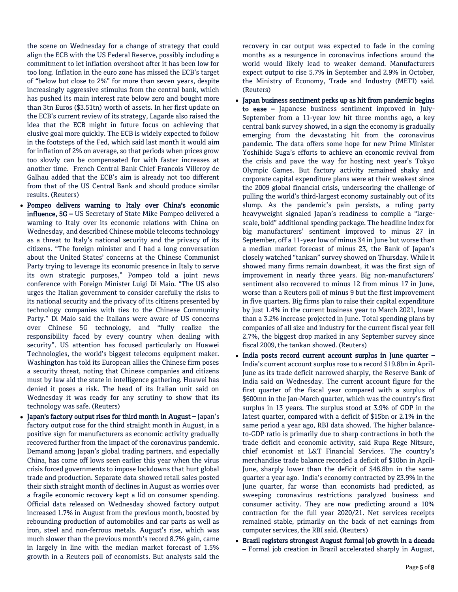the scene on Wednesday for a change of strategy that could align the ECB with the US Federal Reserve, possibly including a commitment to let inflation overshoot after it has been low for too long. Inflation in the euro zone has missed the ECB's target of "below but close to 2%" for more than seven years, despite increasingly aggressive stimulus from the central bank, which has pushed its main interest rate below zero and bought more than 3tn Euros (\$3.51tn) worth of assets. In her first update on the ECB's current review of its strategy, Lagarde also raised the idea that the ECB might in future focus on achieving that elusive goal more quickly. The ECB is widely expected to follow in the footsteps of the Fed, which said last month it would aim for inflation of 2% on average, so that periods when prices grow too slowly can be compensated for with faster increases at another time. French Central Bank Chief Francois Villeroy de Galhau added that the ECB's aim is already not too different from that of the US Central Bank and should produce similar results. (Reuters)

- Pompeo delivers warning to Italy over China's economic influence, 5G – US Secretary of State Mike Pompeo delivered a warning to Italy over its economic relations with China on Wednesday, and described Chinese mobile telecoms technology as a threat to Italy's national security and the privacy of its citizens. "The foreign minister and I had a long conversation about the United States' concerns at the Chinese Communist Party trying to leverage its economic presence in Italy to serve its own strategic purposes," Pompeo told a joint news conference with Foreign Minister Luigi Di Maio. "The US also urges the Italian government to consider carefully the risks to its national security and the privacy of its citizens presented by technology companies with ties to the Chinese Community Party." Di Maio said the Italians were aware of US concerns over Chinese 5G technology, and "fully realize the responsibility faced by every country when dealing with security". US attention has focused particularly on Huawei Technologies, the world's biggest telecoms equipment maker. Washington has told its European allies the Chinese firm poses a security threat, noting that Chinese companies and citizens must by law aid the state in intelligence gathering. Huawei has denied it poses a risk. The head of its Italian unit said on Wednesday it was ready for any scrutiny to show that its technology was safe. (Reuters)
- Japan's factory output rises for third month in August Japan's factory output rose for the third straight month in August, in a positive sign for manufacturers as economic activity gradually recovered further from the impact of the coronavirus pandemic. Demand among Japan's global trading partners, and especially China, has come off lows seen earlier this year when the virus crisis forced governments to impose lockdowns that hurt global trade and production. Separate data showed retail sales posted their sixth straight month of declines in August as worries over a fragile economic recovery kept a lid on consumer spending. Official data released on Wednesday showed factory output increased 1.7% in August from the previous month, boosted by rebounding production of automobiles and car parts as well as iron, steel and non-ferrous metals. August's rise, which was much slower than the previous month's record 8.7% gain, came in largely in line with the median market forecast of 1.5% growth in a Reuters poll of economists. But analysts said the

recovery in car output was expected to fade in the coming months as a resurgence in coronavirus infections around the world would likely lead to weaker demand. Manufacturers expect output to rise 5.7% in September and 2.9% in October, the Ministry of Economy, Trade and Industry (METI) said. (Reuters)

- Japan business sentiment perks up as hit from pandemic begins to ease – Japanese business sentiment improved in July-September from a 11-year low hit three months ago, a key central bank survey showed, in a sign the economy is gradually emerging from the devastating hit from the coronavirus pandemic. The data offers some hope for new Prime Minister Yoshihide Suga's efforts to achieve an economic revival from the crisis and pave the way for hosting next year's Tokyo Olympic Games. But factory activity remained shaky and corporate capital expenditure plans were at their weakest since the 2009 global financial crisis, underscoring the challenge of pulling the world's third-largest economy sustainably out of its slump. As the pandemic's pain persists, a ruling party heavyweight signaled Japan's readiness to compile a "largescale, bold" additional spending package. The headline index for big manufacturers' sentiment improved to minus 27 in September, off a 11-year low of minus 34 in June but worse than a median market forecast of minus 23, the Bank of Japan's closely watched "tankan" survey showed on Thursday. While it showed many firms remain downbeat, it was the first sign of improvement in nearly three years. Big non-manufacturers' sentiment also recovered to minus 12 from minus 17 in June, worse than a Reuters poll of minus 9 but the first improvement in five quarters. Big firms plan to raise their capital expenditure by just 1.4% in the current business year to March 2021, lower than a 3.2% increase projected in June. Total spending plans by companies of all size and industry for the current fiscal year fell 2.7%, the biggest drop marked in any September survey since fiscal 2009, the tankan showed. (Reuters)
- India posts record current account surplus in June quarter India's current account surplus rose to a record \$19.8bn in April-June as its trade deficit narrowed sharply, the Reserve Bank of India said on Wednesday. The current account figure for the first quarter of the fiscal year compared with a surplus of \$600mn in the Jan-March quarter, which was the country's first surplus in 13 years. The surplus stood at 3.9% of GDP in the latest quarter, compared with a deficit of \$15bn or 2.1% in the same period a year ago, RBI data showed. The higher balanceto-GDP ratio is primarily due to sharp contractions in both the trade deficit and economic activity, said Rupa Rege Nitsure, chief economist at L&T Financial Services. The country's merchandise trade balance recorded a deficit of \$10bn in April-June, sharply lower than the deficit of \$46.8bn in the same quarter a year ago. India's economy contracted by 23.9% in the June quarter, far worse than economists had predicted, as sweeping coronavirus restrictions paralyzed business and consumer activity. They are now predicting around a 10% contraction for the full year 2020/21. Net services receipts remained stable, primarily on the back of net earnings from computer services, the RBI said. (Reuters)
- Brazil registers strongest August formal job growth in a decade – Formal job creation in Brazil accelerated sharply in August,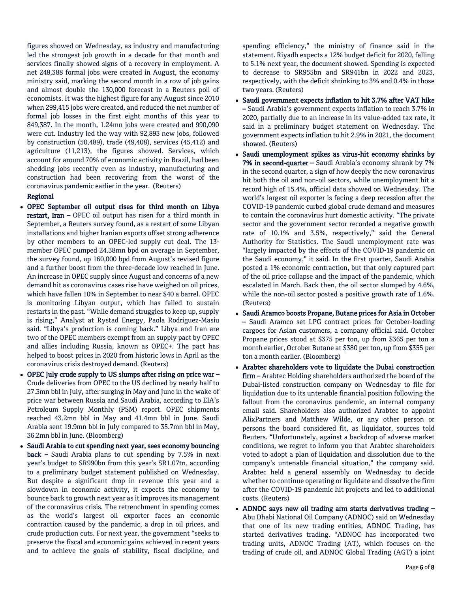figures showed on Wednesday, as industry and manufacturing led the strongest job growth in a decade for that month and services finally showed signs of a recovery in employment. A net 248,388 formal jobs were created in August, the economy ministry said, marking the second month in a row of job gains and almost double the 130,000 forecast in a Reuters poll of economists. It was the highest figure for any August since 2010 when 299,415 jobs were created, and reduced the net number of formal job losses in the first eight months of this year to 849,387. In the month, 1.24mn jobs were created and 990,090 were cut. Industry led the way with 92,893 new jobs, followed by construction (50,489), trade (49,408), services (45,412) and agriculture (11,213), the figures showed. Services, which account for around 70% of economic activity in Brazil, had been shedding jobs recently even as industry, manufacturing and construction had been recovering from the worst of the coronavirus pandemic earlier in the year. (Reuters)

## Regional

- OPEC September oil output rises for third month on Libya restart, Iran – OPEC oil output has risen for a third month in September, a Reuters survey found, as a restart of some Libyan installations and higher Iranian exports offset strong adherence by other members to an OPEC-led supply cut deal. The 13 member OPEC pumped 24.38mn bpd on average in September, the survey found, up 160,000 bpd from August's revised figure and a further boost from the three-decade low reached in June. An increase in OPEC supply since August and concerns of a new demand hit as coronavirus cases rise have weighed on oil prices, which have fallen 10% in September to near \$40 a barrel. OPEC is monitoring Libyan output, which has failed to sustain restarts in the past. "While demand struggles to keep up, supply is rising," Analyst at Rystad Energy, Paola Rodriguez-Masiu said. "Libya's production is coming back." Libya and Iran are two of the OPEC members exempt from an supply pact by OPEC and allies including Russia, known as OPEC+. The pact has helped to boost prices in 2020 from historic lows in April as the coronavirus crisis destroyed demand. (Reuters)
- OPEC July crude supply to US slumps after rising on price war Crude deliveries from OPEC to the US declined by nearly half to 27.3mn bbl in July, after surging in May and June in the wake of price war between Russia and Saudi Arabia, according to EIA's Petroleum Supply Monthly (PSM) report. OPEC shipments reached 43.2mn bbl in May and 41.4mn bbl in June. Saudi Arabia sent 19.9mn bbl in July compared to 35.7mn bbl in May, 36.2mn bbl in June. (Bloomberg)
- Saudi Arabia to cut spending next year, sees economy bouncing back – Saudi Arabia plans to cut spending by 7.5% in next year's budget to SR990bn from this year's SR1.07tn, according to a preliminary budget statement published on Wednesday. But despite a significant drop in revenue this year and a slowdown in economic activity, it expects the economy to bounce back to growth next year as it improves its management of the coronavirus crisis. The retrenchment in spending comes as the world's largest oil exporter faces an economic contraction caused by the pandemic, a drop in oil prices, and crude production cuts. For next year, the government "seeks to preserve the fiscal and economic gains achieved in recent years and to achieve the goals of stability, fiscal discipline, and

spending efficiency," the ministry of finance said in the statement. Riyadh expects a 12% budget deficit for 2020, falling to 5.1% next year, the document showed. Spending is expected to decrease to SR955bn and SR941bn in 2022 and 2023, respectively, with the deficit shrinking to 3% and 0.4% in those two years. (Reuters)

- Saudi government expects inflation to hit 3.7% after VAT hike – Saudi Arabia's government expects inflation to reach 3.7% in 2020, partially due to an increase in its value-added tax rate, it said in a preliminary budget statement on Wednesday. The government expects inflation to hit 2.9% in 2021, the document showed. (Reuters)
- Saudi unemployment spikes as virus-hit economy shrinks by 7% in second-quarter – Saudi Arabia's economy shrank by 7% in the second quarter, a sign of how deeply the new coronavirus hit both the oil and non-oil sectors, while unemployment hit a record high of 15.4%, official data showed on Wednesday. The world's largest oil exporter is facing a deep recession after the COVID-19 pandemic curbed global crude demand and measures to contain the coronavirus hurt domestic activity. "The private sector and the government sector recorded a negative growth rate of 10.1% and 3.5%, respectively," said the General Authority for Statistics. The Saudi unemployment rate was "largely impacted by the effects of the COVID-19 pandemic on the Saudi economy," it said. In the first quarter, Saudi Arabia posted a 1% economic contraction, but that only captured part of the oil price collapse and the impact of the pandemic, which escalated in March. Back then, the oil sector slumped by 4.6%, while the non-oil sector posted a positive growth rate of 1.6%. (Reuters)
- Saudi Aramco boosts Propane, Butane prices for Asia in October – Saudi Aramco set LPG contract prices for October-loading cargoes for Asian customers, a company official said. October Propane prices stood at \$375 per ton, up from \$365 per ton a month earlier, October Butane at \$380 per ton, up from \$355 per ton a month earlier. (Bloomberg)
- Arabtec shareholders vote to liquidate the Dubai construction firm – Arabtec Holding shareholders authorized the board of the Dubai-listed construction company on Wednesday to file for liquidation due to its untenable financial position following the fallout from the coronavirus pandemic, an internal company email said. Shareholders also authorized Arabtec to appoint AlixPartners and Matthew Wilde, or any other person or persons the board considered fit, as liquidator, sources told Reuters. "Unfortunately, against a backdrop of adverse market conditions, we regret to inform you that Arabtec shareholders voted to adopt a plan of liquidation and dissolution due to the company's untenable financial situation," the company said. Arabtec held a general assembly on Wednesday to decide whether to continue operating or liquidate and dissolve the firm after the COVID-19 pandemic hit projects and led to additional costs. (Reuters)
- ADNOC says new oil trading arm starts derivatives trading Abu Dhabi National Oil Company (ADNOC) said on Wednesday that one of its new trading entities, ADNOC Trading, has started derivatives trading. "ADNOC has incorporated two trading units, ADNOC Trading (AT), which focuses on the trading of crude oil, and ADNOC Global Trading (AGT) a joint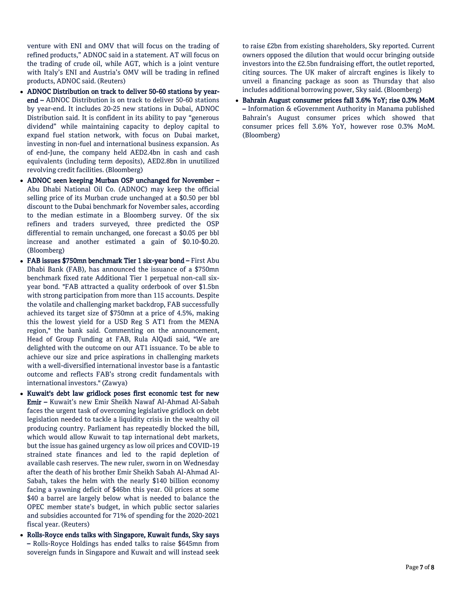venture with ENI and OMV that will focus on the trading of refined products," ADNOC said in a statement. AT will focus on the trading of crude oil, while AGT, which is a joint venture with Italy's ENI and Austria's OMV will be trading in refined products, ADNOC said. (Reuters)

- ADNOC Distribution on track to deliver 50-60 stations by yearend – ADNOC Distribution is on track to deliver 50-60 stations by year-end. It includes 20-25 new stations in Dubai, ADNOC Distribution said. It is confident in its ability to pay "generous dividend" while maintaining capacity to deploy capital to expand fuel station network, with focus on Dubai market, investing in non-fuel and international business expansion. As of end-June, the company held AED2.4bn in cash and cash equivalents (including term deposits), AED2.8bn in unutilized revolving credit facilities. (Bloomberg)
- ADNOC seen keeping Murban OSP unchanged for November Abu Dhabi National Oil Co. (ADNOC) may keep the official selling price of its Murban crude unchanged at a \$0.50 per bbl discount to the Dubai benchmark for November sales, according to the median estimate in a Bloomberg survey. Of the six refiners and traders surveyed, three predicted the OSP differential to remain unchanged, one forecast a \$0.05 per bbl increase and another estimated a gain of \$0.10-\$0.20. (Bloomberg)
- FAB issues \$750mn benchmark Tier 1 six-year bond First Abu Dhabi Bank (FAB), has announced the issuance of a \$750mn benchmark fixed rate Additional Tier 1 perpetual non-call sixyear bond. "FAB attracted a quality orderbook of over \$1.5bn with strong participation from more than 115 accounts. Despite the volatile and challenging market backdrop, FAB successfully achieved its target size of \$750mn at a price of 4.5%, making this the lowest yield for a USD Reg S AT1 from the MENA region," the bank said. Commenting on the announcement, Head of Group Funding at FAB, Rula AlQadi said, "We are delighted with the outcome on our AT1 issuance. To be able to achieve our size and price aspirations in challenging markets with a well-diversified international investor base is a fantastic outcome and reflects FAB's strong credit fundamentals with international investors." (Zawya)
- Kuwait's debt law gridlock poses first economic test for new Emir – Kuwait's new Emir Sheikh Nawaf Al-Ahmad Al-Sabah faces the urgent task of overcoming legislative gridlock on debt legislation needed to tackle a liquidity crisis in the wealthy oil producing country. Parliament has repeatedly blocked the bill, which would allow Kuwait to tap international debt markets, but the issue has gained urgency as low oil prices and COVID-19 strained state finances and led to the rapid depletion of available cash reserves. The new ruler, sworn in on Wednesday after the death of his brother Emir Sheikh Sabah Al-Ahmad Al-Sabah, takes the helm with the nearly \$140 billion economy facing a yawning deficit of \$46bn this year. Oil prices at some \$40 a barrel are largely below what is needed to balance the OPEC member state's budget, in which public sector salaries and subsidies accounted for 71% of spending for the 2020-2021 fiscal year. (Reuters)
- Rolls-Royce ends talks with Singapore, Kuwait funds, Sky says – Rolls-Royce Holdings has ended talks to raise \$645mn from sovereign funds in Singapore and Kuwait and will instead seek

to raise £2bn from existing shareholders, Sky reported. Current owners opposed the dilution that would occur bringing outside investors into the £2.5bn fundraising effort, the outlet reported, citing sources. The UK maker of aircraft engines is likely to unveil a financing package as soon as Thursday that also includes additional borrowing power, Sky said. (Bloomberg)

 Bahrain August consumer prices fall 3.6% YoY; rise 0.3% MoM – Information & eGovernment Authority in Manama published Bahrain's August consumer prices which showed that consumer prices fell 3.6% YoY, however rose 0.3% MoM. (Bloomberg)